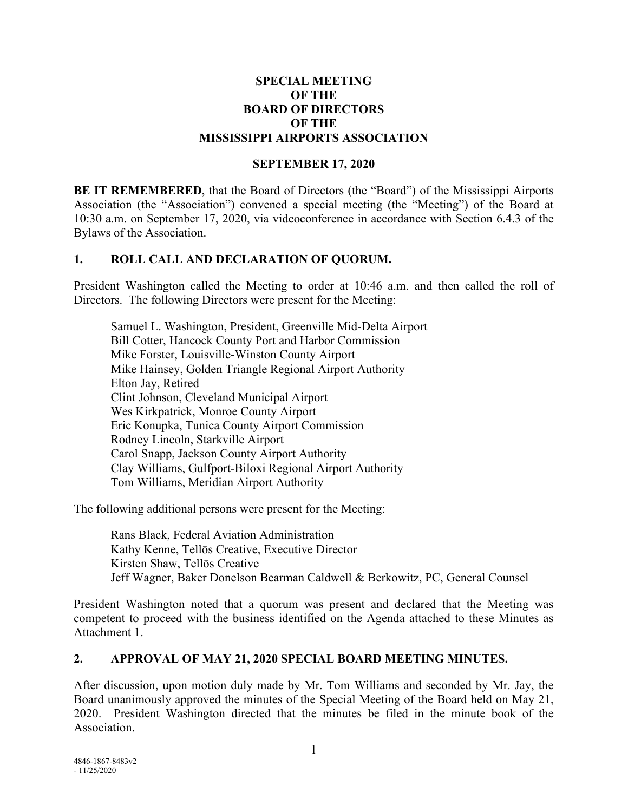#### **SPECIAL MEETING OF THE BOARD OF DIRECTORS OF THE MISSISSIPPI AIRPORTS ASSOCIATION**

### **SEPTEMBER 17, 2020**

**BE IT REMEMBERED**, that the Board of Directors (the "Board") of the Mississippi Airports Association (the "Association") convened a special meeting (the "Meeting") of the Board at 10:30 a.m. on September 17, 2020, via videoconference in accordance with Section 6.4.3 of the Bylaws of the Association.

## **1. ROLL CALL AND DECLARATION OF QUORUM.**

President Washington called the Meeting to order at 10:46 a.m. and then called the roll of Directors. The following Directors were present for the Meeting:

Samuel L. Washington, President, Greenville Mid-Delta Airport Bill Cotter, Hancock County Port and Harbor Commission Mike Forster, Louisville-Winston County Airport Mike Hainsey, Golden Triangle Regional Airport Authority Elton Jay, Retired Clint Johnson, Cleveland Municipal Airport Wes Kirkpatrick, Monroe County Airport Eric Konupka, Tunica County Airport Commission Rodney Lincoln, Starkville Airport Carol Snapp, Jackson County Airport Authority Clay Williams, Gulfport-Biloxi Regional Airport Authority Tom Williams, Meridian Airport Authority

The following additional persons were present for the Meeting:

Rans Black, Federal Aviation Administration Kathy Kenne, Tellōs Creative, Executive Director Kirsten Shaw, Tellōs Creative Jeff Wagner, Baker Donelson Bearman Caldwell & Berkowitz, PC, General Counsel

President Washington noted that a quorum was present and declared that the Meeting was competent to proceed with the business identified on the Agenda attached to these Minutes as Attachment 1.

#### **2. APPROVAL OF MAY 21, 2020 SPECIAL BOARD MEETING MINUTES.**

After discussion, upon motion duly made by Mr. Tom Williams and seconded by Mr. Jay, the Board unanimously approved the minutes of the Special Meeting of the Board held on May 21, 2020. President Washington directed that the minutes be filed in the minute book of the Association.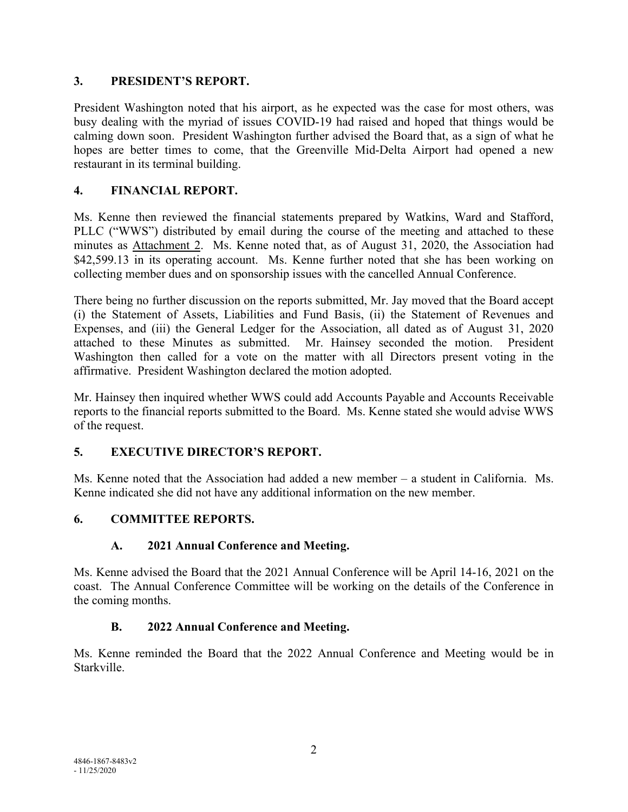### **3. PRESIDENT'S REPORT.**

President Washington noted that his airport, as he expected was the case for most others, was busy dealing with the myriad of issues COVID-19 had raised and hoped that things would be calming down soon. President Washington further advised the Board that, as a sign of what he hopes are better times to come, that the Greenville Mid-Delta Airport had opened a new restaurant in its terminal building.

# **4. FINANCIAL REPORT.**

Ms. Kenne then reviewed the financial statements prepared by Watkins, Ward and Stafford, PLLC ("WWS") distributed by email during the course of the meeting and attached to these minutes as Attachment 2. Ms. Kenne noted that, as of August 31, 2020, the Association had \$42,599.13 in its operating account. Ms. Kenne further noted that she has been working on collecting member dues and on sponsorship issues with the cancelled Annual Conference.

There being no further discussion on the reports submitted, Mr. Jay moved that the Board accept (i) the Statement of Assets, Liabilities and Fund Basis, (ii) the Statement of Revenues and Expenses, and (iii) the General Ledger for the Association, all dated as of August 31, 2020 attached to these Minutes as submitted. Mr. Hainsey seconded the motion. President Washington then called for a vote on the matter with all Directors present voting in the affirmative. President Washington declared the motion adopted.

Mr. Hainsey then inquired whether WWS could add Accounts Payable and Accounts Receivable reports to the financial reports submitted to the Board. Ms. Kenne stated she would advise WWS of the request.

# **5. EXECUTIVE DIRECTOR'S REPORT.**

Ms. Kenne noted that the Association had added a new member – a student in California. Ms. Kenne indicated she did not have any additional information on the new member.

# **6. COMMITTEE REPORTS.**

#### **A. 2021 Annual Conference and Meeting.**

Ms. Kenne advised the Board that the 2021 Annual Conference will be April 14-16, 2021 on the coast. The Annual Conference Committee will be working on the details of the Conference in the coming months.

#### **B. 2022 Annual Conference and Meeting.**

Ms. Kenne reminded the Board that the 2022 Annual Conference and Meeting would be in Starkville.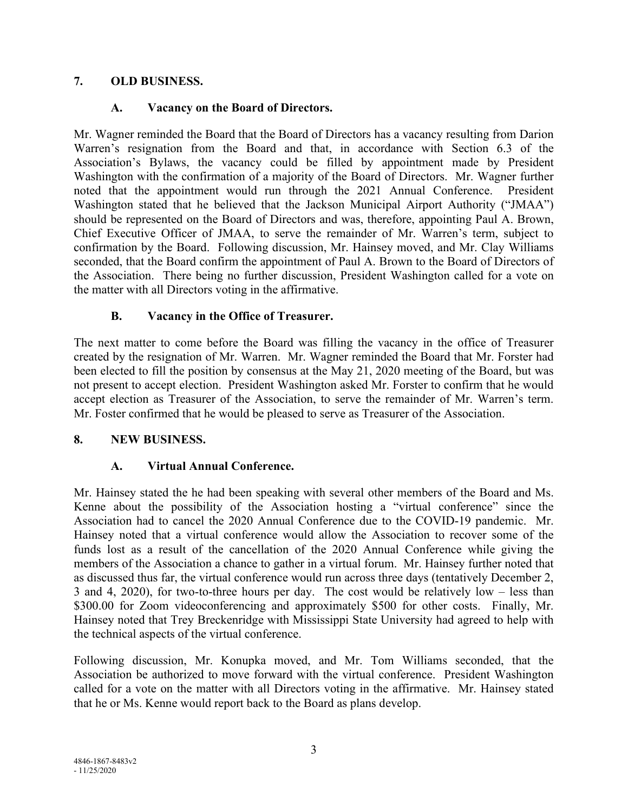### **7. OLD BUSINESS.**

## **A. Vacancy on the Board of Directors.**

Mr. Wagner reminded the Board that the Board of Directors has a vacancy resulting from Darion Warren's resignation from the Board and that, in accordance with Section 6.3 of the Association's Bylaws, the vacancy could be filled by appointment made by President Washington with the confirmation of a majority of the Board of Directors. Mr. Wagner further noted that the appointment would run through the 2021 Annual Conference. President Washington stated that he believed that the Jackson Municipal Airport Authority ("JMAA") should be represented on the Board of Directors and was, therefore, appointing Paul A. Brown, Chief Executive Officer of JMAA, to serve the remainder of Mr. Warren's term, subject to confirmation by the Board. Following discussion, Mr. Hainsey moved, and Mr. Clay Williams seconded, that the Board confirm the appointment of Paul A. Brown to the Board of Directors of the Association. There being no further discussion, President Washington called for a vote on the matter with all Directors voting in the affirmative.

# **B. Vacancy in the Office of Treasurer.**

The next matter to come before the Board was filling the vacancy in the office of Treasurer created by the resignation of Mr. Warren. Mr. Wagner reminded the Board that Mr. Forster had been elected to fill the position by consensus at the May 21, 2020 meeting of the Board, but was not present to accept election. President Washington asked Mr. Forster to confirm that he would accept election as Treasurer of the Association, to serve the remainder of Mr. Warren's term. Mr. Foster confirmed that he would be pleased to serve as Treasurer of the Association.

# **8. NEW BUSINESS.**

#### **A. Virtual Annual Conference.**

Mr. Hainsey stated the he had been speaking with several other members of the Board and Ms. Kenne about the possibility of the Association hosting a "virtual conference" since the Association had to cancel the 2020 Annual Conference due to the COVID-19 pandemic. Mr. Hainsey noted that a virtual conference would allow the Association to recover some of the funds lost as a result of the cancellation of the 2020 Annual Conference while giving the members of the Association a chance to gather in a virtual forum. Mr. Hainsey further noted that as discussed thus far, the virtual conference would run across three days (tentatively December 2, 3 and 4, 2020), for two-to-three hours per day. The cost would be relatively low – less than \$300.00 for Zoom videoconferencing and approximately \$500 for other costs. Finally, Mr. Hainsey noted that Trey Breckenridge with Mississippi State University had agreed to help with the technical aspects of the virtual conference.

Following discussion, Mr. Konupka moved, and Mr. Tom Williams seconded, that the Association be authorized to move forward with the virtual conference. President Washington called for a vote on the matter with all Directors voting in the affirmative. Mr. Hainsey stated that he or Ms. Kenne would report back to the Board as plans develop.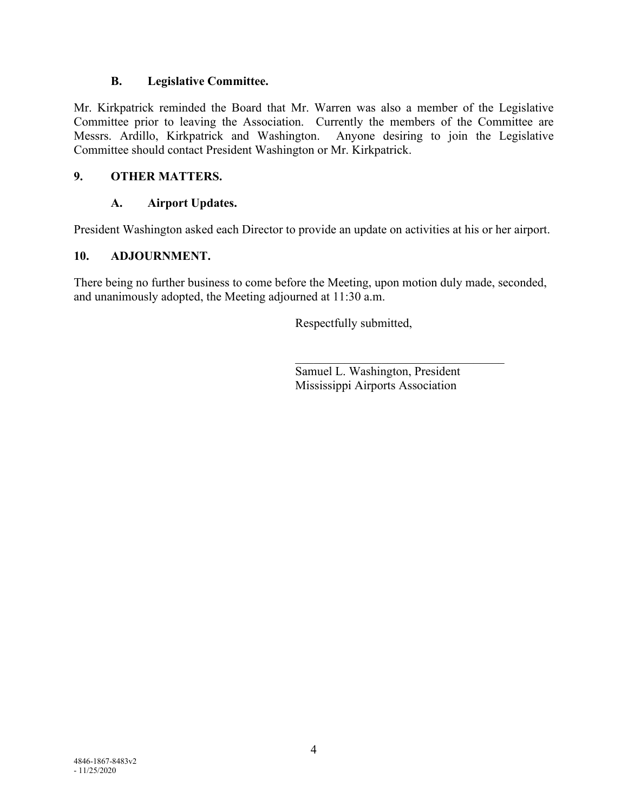#### **B. Legislative Committee.**

Mr. Kirkpatrick reminded the Board that Mr. Warren was also a member of the Legislative Committee prior to leaving the Association. Currently the members of the Committee are Messrs. Ardillo, Kirkpatrick and Washington. Anyone desiring to join the Legislative Committee should contact President Washington or Mr. Kirkpatrick.

#### **9. OTHER MATTERS.**

# **A. Airport Updates.**

President Washington asked each Director to provide an update on activities at his or her airport.

## **10. ADJOURNMENT.**

There being no further business to come before the Meeting, upon motion duly made, seconded, and unanimously adopted, the Meeting adjourned at 11:30 a.m.

Respectfully submitted,

Samuel L. Washington, President Mississippi Airports Association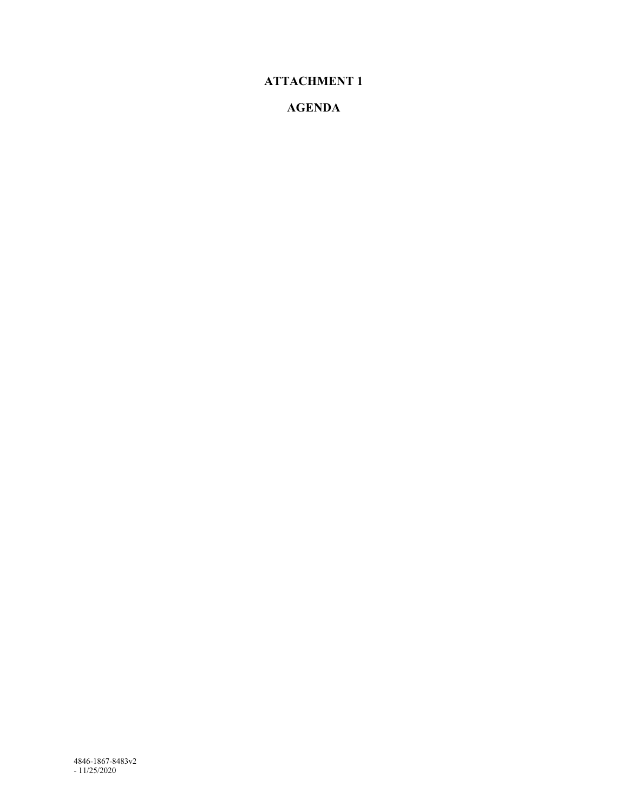# **ATTACHMENT 1**

# **AGENDA**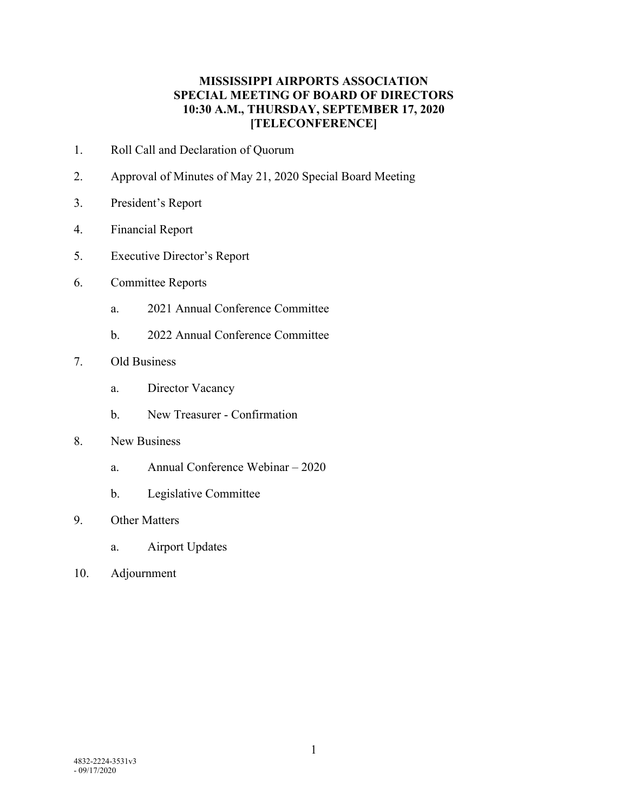### **MISSISSIPPI AIRPORTS ASSOCIATION SPECIAL MEETING OF BOARD OF DIRECTORS 10:30 A.M., THURSDAY, SEPTEMBER 17, 2020 [TELECONFERENCE]**

- 1. Roll Call and Declaration of Quorum
- 2. Approval of Minutes of May 21, 2020 Special Board Meeting
- 3. President's Report
- 4. Financial Report
- 5. Executive Director's Report
- 6. Committee Reports
	- a. 2021 Annual Conference Committee
	- b. 2022 Annual Conference Committee
- 7. Old Business
	- a. Director Vacancy
	- b. New Treasurer Confirmation
- 8. New Business
	- a. Annual Conference Webinar 2020
	- b. Legislative Committee
- 9. Other Matters
	- a. Airport Updates
- 10. Adjournment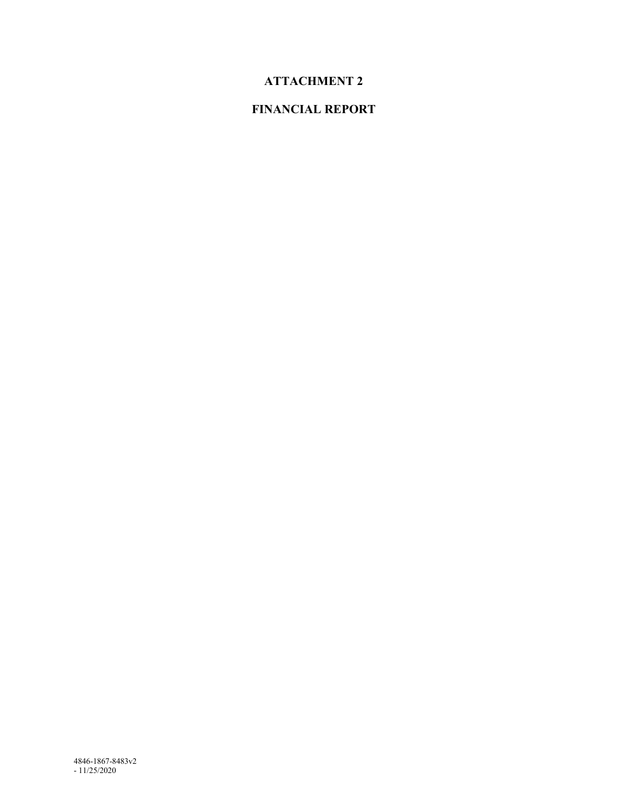# **ATTACHMENT 2**

# **FINANCIAL REPORT**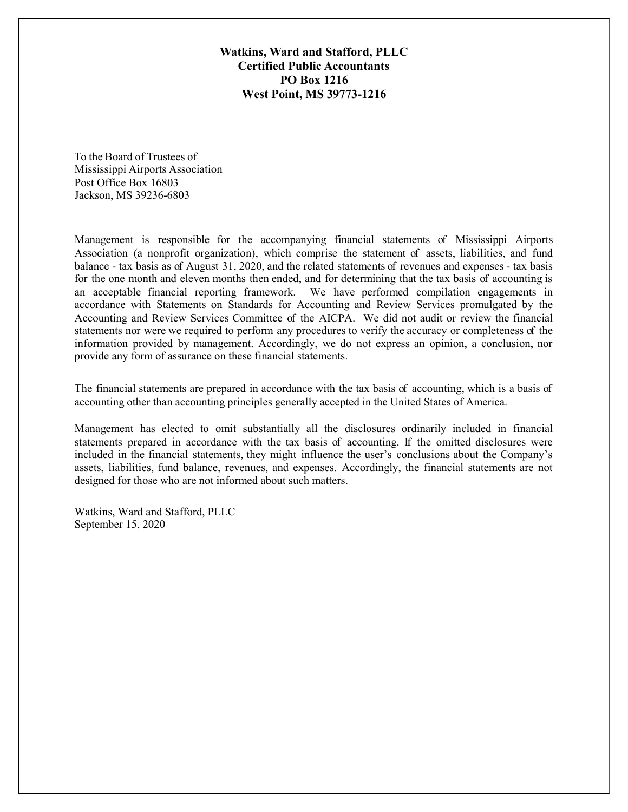Watkins, Ward and Stafford, PLLC Certified Public Accountants PO Box 1216 West Point, MS 39773-1216

To the Board of Trustees of Mississippi Airports Association Post Office Box 16803 Jackson, MS 39236-6803

Management is responsible for the accompanying financial statements of Mississippi Airports Association (a nonprofit organization), which comprise the statement of assets, liabilities, and fund balance - tax basis as of August 31, 2020, and the related statements of revenues and expenses - tax basis for the one month and eleven months then ended, and for determining that the tax basis of accounting is an acceptable financial reporting framework. We have performed compilation engagements in accordance with Statements on Standards for Accounting and Review Services promulgated by the Accounting and Review Services Committee of the AICPA. We did not audit or review the financial statements nor were we required to perform any procedures to verify the accuracy or completeness of the information provided by management. Accordingly, we do not express an opinion, a conclusion, nor provide any form of assurance on these financial statements.

The financial statements are prepared in accordance with the tax basis of accounting, which is a basis of accounting other than accounting principles generally accepted in the United States of America.

Management has elected to omit substantially all the disclosures ordinarily included in financial statements prepared in accordance with the tax basis of accounting. If the omitted disclosures were included in the financial statements, they might influence the user's conclusions about the Company's assets, liabilities, fund balance, revenues, and expenses. Accordingly, the financial statements are not designed for those who are not informed about such matters.

Watkins, Ward and Stafford, PLLC September 15, 2020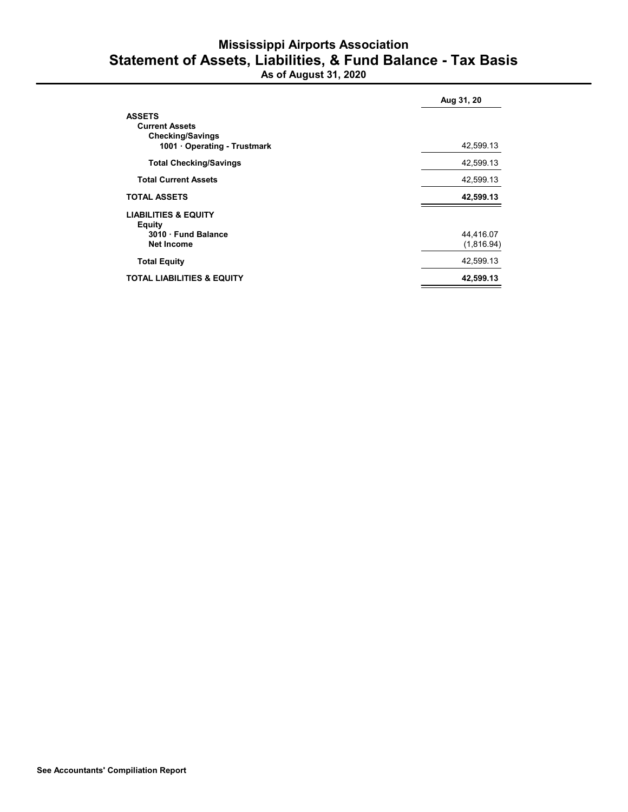# Mississippi Airports Association Statement of Assets, Liabilities, & Fund Balance - Tax Basis

As of August 31, 2020

|                                                                                                 | Aug 31, 20              |  |  |
|-------------------------------------------------------------------------------------------------|-------------------------|--|--|
| <b>ASSETS</b><br><b>Current Assets</b><br><b>Checking/Savings</b><br>1001 Operating - Trustmark | 42,599.13               |  |  |
| <b>Total Checking/Savings</b>                                                                   | 42,599.13               |  |  |
| <b>Total Current Assets</b>                                                                     | 42,599.13               |  |  |
| <b>TOTAL ASSETS</b>                                                                             | 42,599.13               |  |  |
| <b>LIABILITIES &amp; EQUITY</b><br><b>Equity</b><br>3010 · Fund Balance<br><b>Net Income</b>    | 44,416.07<br>(1,816.94) |  |  |
| <b>Total Equity</b>                                                                             | 42,599.13               |  |  |
| <b>TOTAL LIABILITIES &amp; EQUITY</b>                                                           | 42,599.13               |  |  |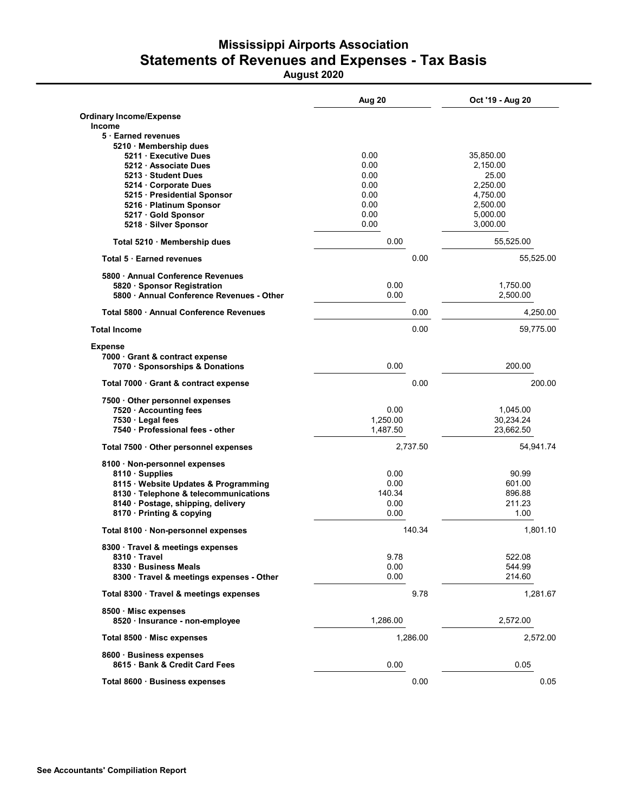# Mississippi Airports Association Statements of Revenues and Expenses - Tax Basis

August 2020

|                                               | Aug 20   | Oct '19 - Aug 20 |  |
|-----------------------------------------------|----------|------------------|--|
| <b>Ordinary Income/Expense</b>                |          |                  |  |
| <b>Income</b>                                 |          |                  |  |
| 5 Earned revenues                             |          |                  |  |
| 5210 · Membership dues<br>5211 Executive Dues | 0.00     | 35,850.00        |  |
| 5212 · Associate Dues                         | 0.00     | 2,150.00         |  |
| 5213 Student Dues                             | 0.00     | 25.00            |  |
| 5214 Corporate Dues                           | 0.00     | 2,250.00         |  |
| 5215 · Presidential Sponsor                   | 0.00     | 4,750.00         |  |
| 5216 · Platinum Sponsor                       | 0.00     | 2,500.00         |  |
| 5217 · Gold Sponsor                           | 0.00     | 5,000.00         |  |
| 5218 · Silver Sponsor                         | 0.00     | 3,000.00         |  |
| Total 5210 · Membership dues                  | 0.00     | 55,525.00        |  |
| <b>Total 5 Earned revenues</b>                | 0.00     | 55,525.00        |  |
| 5800 Annual Conference Revenues               |          |                  |  |
| 5820 · Sponsor Registration                   | 0.00     | 1,750.00         |  |
| 5800 Annual Conference Revenues - Other       | 0.00     | 2,500.00         |  |
| Total 5800 · Annual Conference Revenues       | 0.00     | 4,250.00         |  |
| <b>Total Income</b>                           | 0.00     | 59,775.00        |  |
| <b>Expense</b>                                |          |                  |  |
| 7000 · Grant & contract expense               |          |                  |  |
| 7070 · Sponsorships & Donations               | 0.00     | 200.00           |  |
| Total 7000 Grant & contract expense           | 0.00     | 200.00           |  |
| 7500 Other personnel expenses                 |          |                  |  |
| 7520 Accounting fees                          | 0.00     | 1,045.00         |  |
| 7530 · Legal fees                             | 1,250.00 | 30,234.24        |  |
| 7540 · Professional fees - other              | 1,487.50 | 23,662.50        |  |
| Total 7500 · Other personnel expenses         | 2,737.50 | 54,941.74        |  |
| 8100 · Non-personnel expenses                 |          |                  |  |
| 8110 · Supplies                               | 0.00     | 90.99            |  |
| 8115 · Website Updates & Programming          | 0.00     | 601.00           |  |
| 8130 · Telephone & telecommunications         | 140.34   | 896.88           |  |
| 8140 · Postage, shipping, delivery            | 0.00     | 211.23           |  |
| 8170 · Printing & copying                     | 0.00     | 1.00             |  |
| Total 8100 · Non-personnel expenses           | 140.34   | 1,801.10         |  |
| 8300 · Travel & meetings expenses             |          |                  |  |
| 8310 Travel                                   | 9.78     | 522.08           |  |
| 8330 · Business Meals                         | 0.00     | 544.99           |  |
| 8300 · Travel & meetings expenses - Other     | 0.00     | 214.60           |  |
| Total 8300 · Travel & meetings expenses       | 9.78     | 1,281.67         |  |
| 8500 Misc expenses                            |          |                  |  |
| 8520 · Insurance - non-employee               | 1,286.00 | 2,572.00         |  |
| Total 8500 · Misc expenses                    | 1,286.00 | 2,572.00         |  |
| 8600 · Business expenses                      |          |                  |  |
| 8615 Bank & Credit Card Fees                  | 0.00     | 0.05             |  |
| Total 8600 · Business expenses                | 0.00     | 0.05             |  |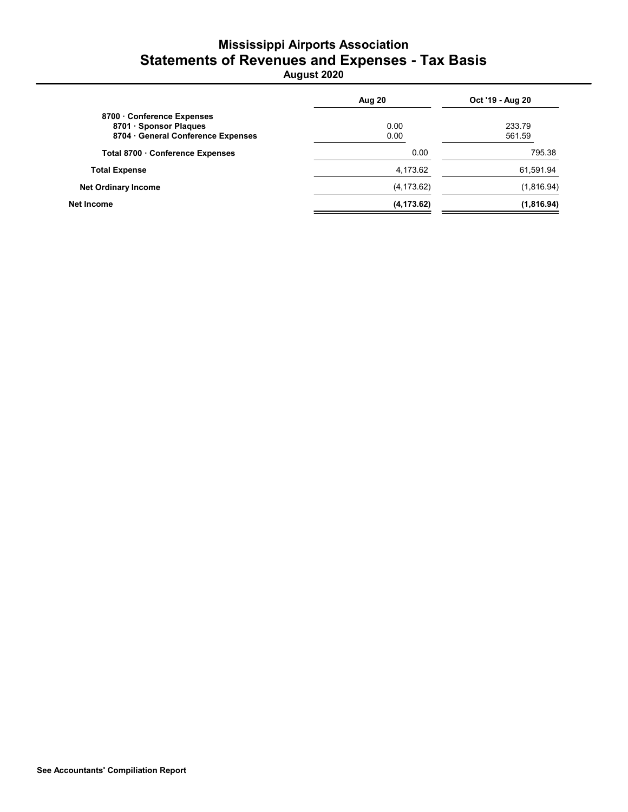# Mississippi Airports Association Statements of Revenues and Expenses - Tax Basis

August 2020

|                                  | Aug 20      | Oct '19 - Aug 20 |  |
|----------------------------------|-------------|------------------|--|
| 8700 Conference Expenses         |             |                  |  |
| 8701 · Sponsor Plaques           | 0.00        | 233.79           |  |
| 8704 General Conference Expenses | 0.00        | 561.59           |  |
| Total 8700 Conference Expenses   | 0.00        | 795.38           |  |
| <b>Total Expense</b>             | 4,173.62    | 61,591.94        |  |
| <b>Net Ordinary Income</b>       | (4, 173.62) | (1,816.94)       |  |
| Net Income                       | (4, 173.62) | (1,816.94)       |  |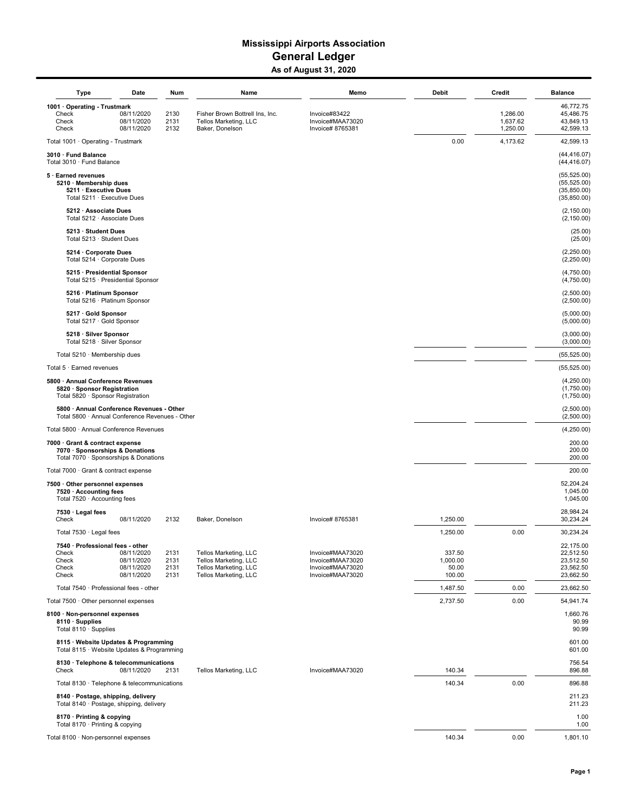#### Mississippi Airports Association General Ledger As of August 31, 2020

| <b>Type</b>                                                                                                 | Date                                                 | Num                          | Name                                                                                             | Memo                                                                         | Debit                                 | Credit                           | <b>Balance</b>                                                |
|-------------------------------------------------------------------------------------------------------------|------------------------------------------------------|------------------------------|--------------------------------------------------------------------------------------------------|------------------------------------------------------------------------------|---------------------------------------|----------------------------------|---------------------------------------------------------------|
| 1001 · Operating - Trustmark<br>Check<br>Check<br>Check                                                     | 08/11/2020<br>08/11/2020<br>08/11/2020               | 2130<br>2131<br>2132         | Fisher Brown Bottrell Ins, Inc.<br>Tellos Marketing, LLC<br>Baker, Donelson                      | Invoice#83422<br>Invoice#MAA73020<br>Invoice# 8765381                        |                                       | 1,286.00<br>1,637.62<br>1,250.00 | 46,772.75<br>45,486.75<br>43,849.13<br>42,599.13              |
| Total 1001 · Operating - Trustmark                                                                          |                                                      |                              |                                                                                                  |                                                                              | 0.00                                  | 4,173.62                         | 42,599.13                                                     |
| 3010 · Fund Balance<br>Total 3010 · Fund Balance                                                            |                                                      |                              |                                                                                                  |                                                                              |                                       |                                  | (44, 416.07)<br>(44, 416.07)                                  |
| 5 · Earned revenues<br>5210 · Membership dues<br>5211 · Executive Dues<br>Total 5211 · Executive Dues       |                                                      |                              |                                                                                                  |                                                                              |                                       |                                  | (55, 525.00)<br>(55, 525.00)<br>(35, 850.00)<br>(35, 850.00)  |
| 5212 · Associate Dues<br>Total 5212 · Associate Dues                                                        |                                                      |                              |                                                                                                  |                                                                              |                                       |                                  | (2, 150.00)<br>(2, 150.00)                                    |
| 5213 · Student Dues<br>Total 5213 · Student Dues                                                            |                                                      |                              |                                                                                                  |                                                                              |                                       |                                  | (25.00)<br>(25.00)                                            |
| 5214 · Corporate Dues<br>Total 5214 · Corporate Dues                                                        |                                                      |                              |                                                                                                  |                                                                              |                                       |                                  | (2,250.00)<br>(2,250.00)                                      |
| 5215 · Presidential Sponsor<br>Total 5215 · Presidential Sponsor                                            |                                                      |                              |                                                                                                  |                                                                              |                                       |                                  | (4,750.00)<br>(4,750.00)                                      |
| 5216 · Platinum Sponsor<br>Total 5216 · Platinum Sponsor                                                    |                                                      |                              |                                                                                                  |                                                                              |                                       |                                  | (2,500.00)<br>(2,500.00)                                      |
| 5217 · Gold Sponsor<br>Total 5217 · Gold Sponsor                                                            |                                                      |                              |                                                                                                  |                                                                              |                                       |                                  | (5,000.00)<br>(5,000.00)                                      |
| 5218 · Silver Sponsor<br>Total 5218 · Silver Sponsor                                                        |                                                      |                              |                                                                                                  |                                                                              |                                       |                                  | (3,000.00)<br>(3,000.00)                                      |
| Total 5210 · Membership dues                                                                                |                                                      |                              |                                                                                                  |                                                                              |                                       |                                  | (55, 525.00)                                                  |
| Total 5 · Earned revenues                                                                                   |                                                      |                              |                                                                                                  |                                                                              |                                       |                                  | (55, 525.00)                                                  |
| 5800 · Annual Conference Revenues<br>5820 · Sponsor Registration<br>Total 5820 · Sponsor Registration       |                                                      |                              |                                                                                                  |                                                                              |                                       |                                  | (4,250.00)<br>(1,750.00)<br>(1,750.00)                        |
| 5800 · Annual Conference Revenues - Other<br>Total 5800 · Annual Conference Revenues - Other                |                                                      |                              |                                                                                                  |                                                                              |                                       |                                  | (2,500.00)<br>(2,500.00)                                      |
| Total 5800 · Annual Conference Revenues                                                                     |                                                      |                              |                                                                                                  |                                                                              |                                       |                                  | (4,250.00)                                                    |
| 7000 · Grant & contract expense<br>7070 · Sponsorships & Donations<br>Total 7070 · Sponsorships & Donations |                                                      |                              |                                                                                                  |                                                                              |                                       |                                  | 200.00<br>200.00<br>200.00                                    |
| Total 7000 · Grant & contract expense                                                                       |                                                      |                              |                                                                                                  |                                                                              |                                       |                                  | 200.00                                                        |
| 7500 · Other personnel expenses<br>7520 · Accounting fees<br>Total 7520 · Accounting fees                   |                                                      |                              |                                                                                                  |                                                                              |                                       |                                  | 52,204.24<br>1,045.00<br>1,045.00                             |
| 7530 · Legal fees<br>Check                                                                                  | 08/11/2020                                           | 2132                         | Baker, Donelson                                                                                  | Invoice# 8765381                                                             | 1,250.00                              |                                  | 28,984.24<br>30,234.24                                        |
| Total 7530 · Legal fees                                                                                     |                                                      |                              |                                                                                                  |                                                                              | 1,250.00                              | 0.00                             | 30,234.24                                                     |
| 7540 · Professional fees - other<br>Check<br>Check<br>Check<br>Check                                        | 08/11/2020<br>08/11/2020<br>08/11/2020<br>08/11/2020 | 2131<br>2131<br>2131<br>2131 | Tellos Marketing, LLC<br>Tellos Marketing, LLC<br>Tellos Marketing, LLC<br>Tellos Marketing, LLC | Invoice#MAA73020<br>Invoice#MAA73020<br>Invoice#MAA73020<br>Invoice#MAA73020 | 337.50<br>1,000.00<br>50.00<br>100.00 |                                  | 22,175.00<br>22,512.50<br>23,512.50<br>23,562.50<br>23,662.50 |
| Total 7540 · Professional fees - other                                                                      |                                                      |                              |                                                                                                  |                                                                              | 1,487.50                              | 0.00                             | 23,662.50                                                     |
| Total 7500 · Other personnel expenses                                                                       |                                                      |                              |                                                                                                  |                                                                              | 2,737.50                              | 0.00                             | 54,941.74                                                     |
| 8100 · Non-personnel expenses<br>8110 · Supplies<br>Total $8110 \cdot$ Supplies                             |                                                      |                              |                                                                                                  |                                                                              |                                       |                                  | 1,660.76<br>90.99<br>90.99                                    |
| 8115 · Website Updates & Programming<br>Total 8115 · Website Updates & Programming                          |                                                      |                              |                                                                                                  |                                                                              |                                       |                                  | 601.00<br>601.00                                              |
| 8130 · Telephone & telecommunications<br>Check                                                              | 08/11/2020                                           | 2131                         | Tellos Marketing, LLC                                                                            | Invoice#MAA73020                                                             | 140.34                                |                                  | 756.54<br>896.88                                              |
| Total 8130 · Telephone & telecommunications                                                                 |                                                      |                              |                                                                                                  |                                                                              | 140.34                                | 0.00                             | 896.88                                                        |
| 8140 · Postage, shipping, delivery<br>Total 8140 · Postage, shipping, delivery                              |                                                      |                              |                                                                                                  |                                                                              |                                       |                                  | 211.23<br>211.23                                              |
| 8170 · Printing & copying<br>Total 8170 · Printing & copying                                                |                                                      |                              |                                                                                                  |                                                                              |                                       |                                  | 1.00<br>1.00                                                  |
| Total 8100 · Non-personnel expenses                                                                         |                                                      |                              |                                                                                                  |                                                                              | 140.34                                | 0.00                             | 1,801.10                                                      |